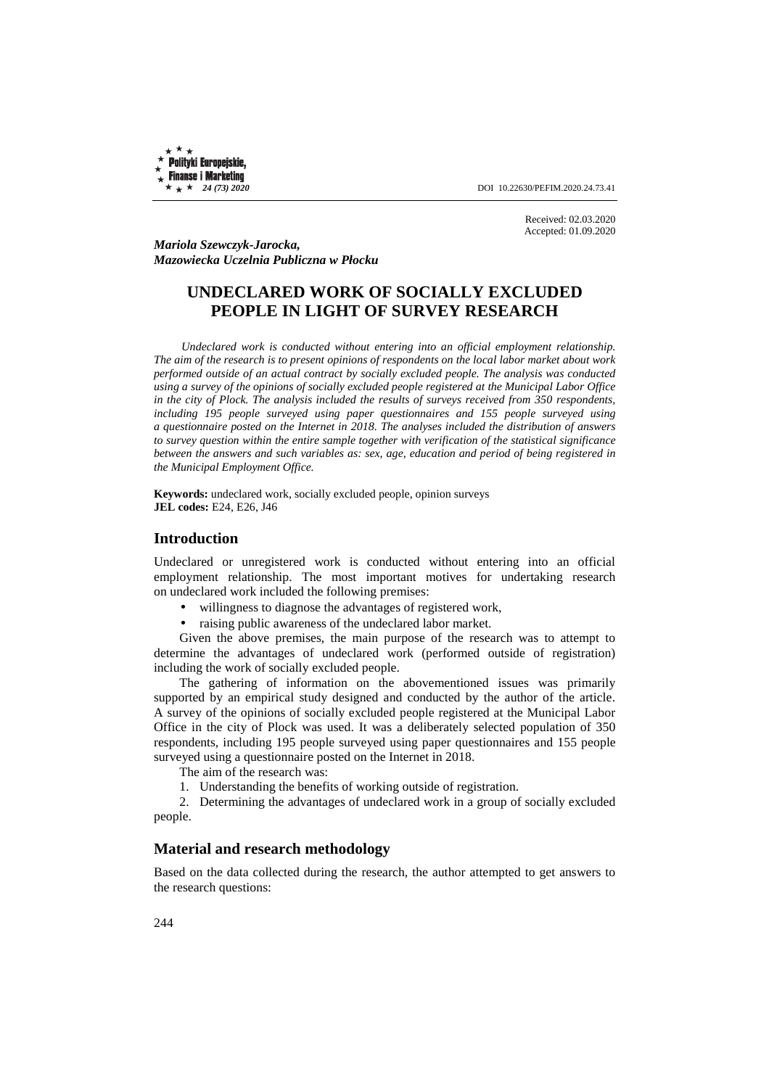**Polityki Europejskie, Finanse i Marketing** 

 $\star + 24 (73) 2020$  DOI 10.22630/PEFIM.2020.24.73.41

Received: 02.03.2020 Accepted: 01.09.2020

*Mariola Szewczyk-Jarocka, Mazowiecka Uczelnia Publiczna w Płocku* 

# **UNDECLARED WORK OF SOCIALLY EXCLUDED PEOPLE IN LIGHT OF SURVEY RESEARCH**

*Undeclared work is conducted without entering into an official employment relationship. The aim of the research is to present opinions of respondents on the local labor market about work performed outside of an actual contract by socially excluded people. The analysis was conducted using a survey of the opinions of socially excluded people registered at the Municipal Labor Office in the city of Plock. The analysis included the results of surveys received from 350 respondents, including 195 people surveyed using paper questionnaires and 155 people surveyed using a questionnaire posted on the Internet in 2018. The analyses included the distribution of answers to survey question within the entire sample together with verification of the statistical significance between the answers and such variables as: sex, age, education and period of being registered in the Municipal Employment Office.* 

**Keywords:** undeclared work, socially excluded people, opinion surveys **JEL codes:** E24, E26, J46

## **Introduction**

Undeclared or unregistered work is conducted without entering into an official employment relationship. The most important motives for undertaking research on undeclared work included the following premises:

- willingness to diagnose the advantages of registered work,
- raising public awareness of the undeclared labor market.

Given the above premises, the main purpose of the research was to attempt to determine the advantages of undeclared work (performed outside of registration) including the work of socially excluded people.

The gathering of information on the abovementioned issues was primarily supported by an empirical study designed and conducted by the author of the article. A survey of the opinions of socially excluded people registered at the Municipal Labor Office in the city of Plock was used. It was a deliberately selected population of 350 respondents, including 195 people surveyed using paper questionnaires and 155 people surveyed using a questionnaire posted on the Internet in 2018.

The aim of the research was:

1. Understanding the benefits of working outside of registration.

2. Determining the advantages of undeclared work in a group of socially excluded people.

### **Material and research methodology**

Based on the data collected during the research, the author attempted to get answers to the research questions: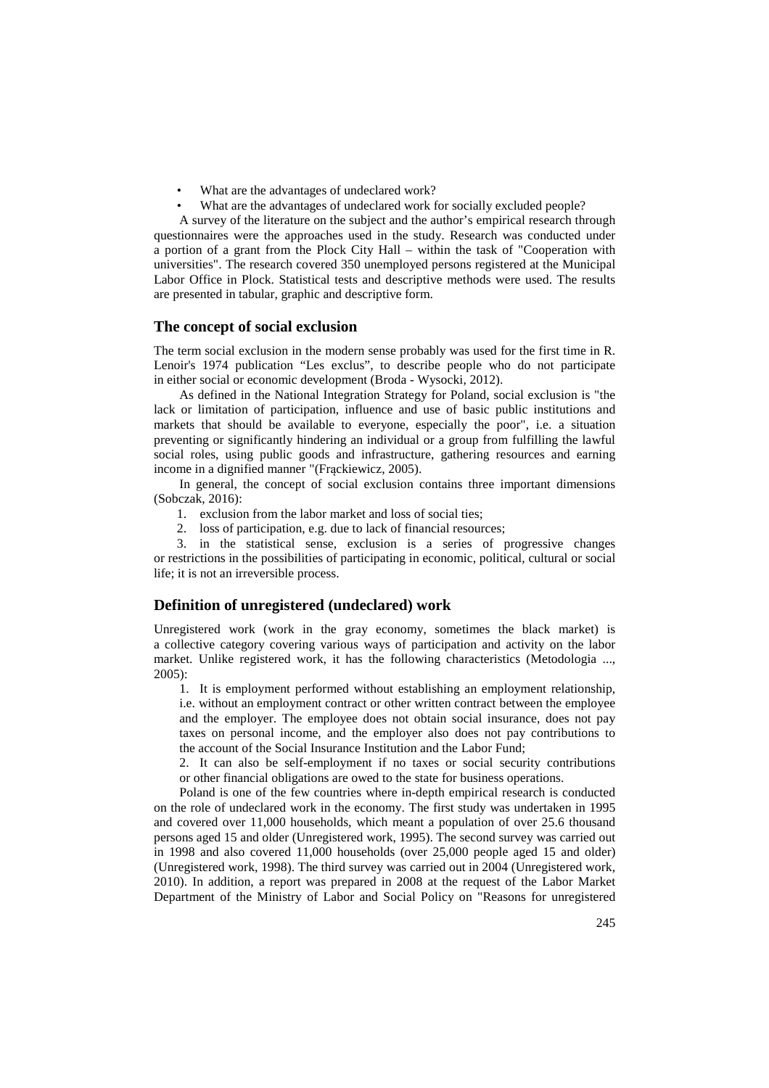- What are the advantages of undeclared work?
- What are the advantages of undeclared work for socially excluded people?

A survey of the literature on the subject and the author's empirical research through questionnaires were the approaches used in the study. Research was conducted under a portion of a grant from the Plock City Hall – within the task of "Cooperation with universities". The research covered 350 unemployed persons registered at the Municipal Labor Office in Plock. Statistical tests and descriptive methods were used. The results are presented in tabular, graphic and descriptive form.

#### **The concept of social exclusion**

The term social exclusion in the modern sense probably was used for the first time in R. Lenoir's 1974 publication "Les exclus", to describe people who do not participate in either social or economic development (Broda - Wysocki, 2012).

As defined in the National Integration Strategy for Poland, social exclusion is "the lack or limitation of participation, influence and use of basic public institutions and markets that should be available to everyone, especially the poor", i.e. a situation preventing or significantly hindering an individual or a group from fulfilling the lawful social roles, using public goods and infrastructure, gathering resources and earning income in a dignified manner "(Frąckiewicz, 2005).

In general, the concept of social exclusion contains three important dimensions (Sobczak, 2016):

- 1. exclusion from the labor market and loss of social ties;
- 2. loss of participation, e.g. due to lack of financial resources;

3. in the statistical sense, exclusion is a series of progressive changes or restrictions in the possibilities of participating in economic, political, cultural or social life; it is not an irreversible process.

### **Definition of unregistered (undeclared) work**

Unregistered work (work in the gray economy, sometimes the black market) is a collective category covering various ways of participation and activity on the labor market. Unlike registered work, it has the following characteristics (Metodologia ..., 2005):

1. It is employment performed without establishing an employment relationship, i.e. without an employment contract or other written contract between the employee and the employer. The employee does not obtain social insurance, does not pay taxes on personal income, and the employer also does not pay contributions to the account of the Social Insurance Institution and the Labor Fund;

2. It can also be self-employment if no taxes or social security contributions or other financial obligations are owed to the state for business operations.

Poland is one of the few countries where in-depth empirical research is conducted on the role of undeclared work in the economy. The first study was undertaken in 1995 and covered over 11,000 households, which meant a population of over 25.6 thousand persons aged 15 and older (Unregistered work, 1995). The second survey was carried out in 1998 and also covered 11,000 households (over 25,000 people aged 15 and older) (Unregistered work, 1998). The third survey was carried out in 2004 (Unregistered work, 2010). In addition, a report was prepared in 2008 at the request of the Labor Market Department of the Ministry of Labor and Social Policy on "Reasons for unregistered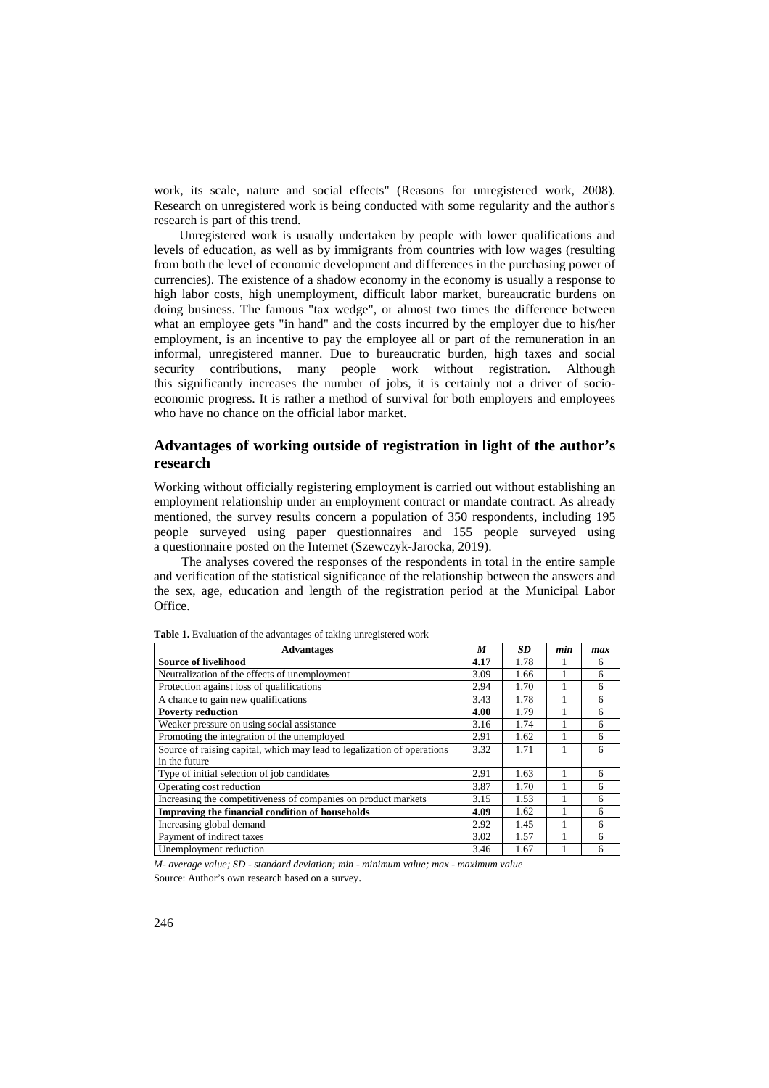work, its scale, nature and social effects" (Reasons for unregistered work, 2008). Research on unregistered work is being conducted with some regularity and the author's research is part of this trend.

Unregistered work is usually undertaken by people with lower qualifications and levels of education, as well as by immigrants from countries with low wages (resulting from both the level of economic development and differences in the purchasing power of currencies). The existence of a shadow economy in the economy is usually a response to high labor costs, high unemployment, difficult labor market, bureaucratic burdens on doing business. The famous "tax wedge", or almost two times the difference between what an employee gets "in hand" and the costs incurred by the employer due to his/her employment, is an incentive to pay the employee all or part of the remuneration in an informal, unregistered manner. Due to bureaucratic burden, high taxes and social security contributions, many people work without registration. Although this significantly increases the number of jobs, it is certainly not a driver of socioeconomic progress. It is rather a method of survival for both employers and employees who have no chance on the official labor market.

# **Advantages of working outside of registration in light of the author's research**

Working without officially registering employment is carried out without establishing an employment relationship under an employment contract or mandate contract. As already mentioned, the survey results concern a population of 350 respondents, including 195 people surveyed using paper questionnaires and 155 people surveyed using a questionnaire posted on the Internet (Szewczyk-Jarocka, 2019).

The analyses covered the responses of the respondents in total in the entire sample and verification of the statistical significance of the relationship between the answers and the sex, age, education and length of the registration period at the Municipal Labor Office.

| <b>Advantages</b>                                                       | M    | <b>SD</b> | min | max |
|-------------------------------------------------------------------------|------|-----------|-----|-----|
| <b>Source of livelihood</b>                                             | 4.17 | 1.78      |     | 6   |
| Neutralization of the effects of unemployment                           | 3.09 | 1.66      |     | 6   |
| Protection against loss of qualifications                               | 2.94 | 1.70      |     | 6   |
| A chance to gain new qualifications                                     | 3.43 | 1.78      |     | 6   |
| <b>Poverty reduction</b>                                                | 4.00 | 1.79      |     | 6   |
| Weaker pressure on using social assistance                              | 3.16 | 1.74      |     | 6   |
| Promoting the integration of the unemployed                             | 2.91 | 1.62      |     | 6   |
| Source of raising capital, which may lead to legalization of operations | 3.32 | 1.71      |     | 6   |
| in the future                                                           |      |           |     |     |
| Type of initial selection of job candidates                             | 2.91 | 1.63      |     | 6   |
| Operating cost reduction                                                | 3.87 | 1.70      |     | 6   |
| Increasing the competitiveness of companies on product markets          | 3.15 | 1.53      |     | 6   |
| Improving the financial condition of households                         | 4.09 | 1.62      |     | 6   |
| Increasing global demand                                                | 2.92 | 1.45      |     | 6   |
| Payment of indirect taxes                                               | 3.02 | 1.57      |     | 6   |
| Unemployment reduction                                                  | 3.46 | 1.67      |     | 6   |

Table 1. Evaluation of the advantages of taking unregistered work

*M- average value; SD - standard deviation; min - minimum value; max - maximum value*  Source: Author's own research based on a survey.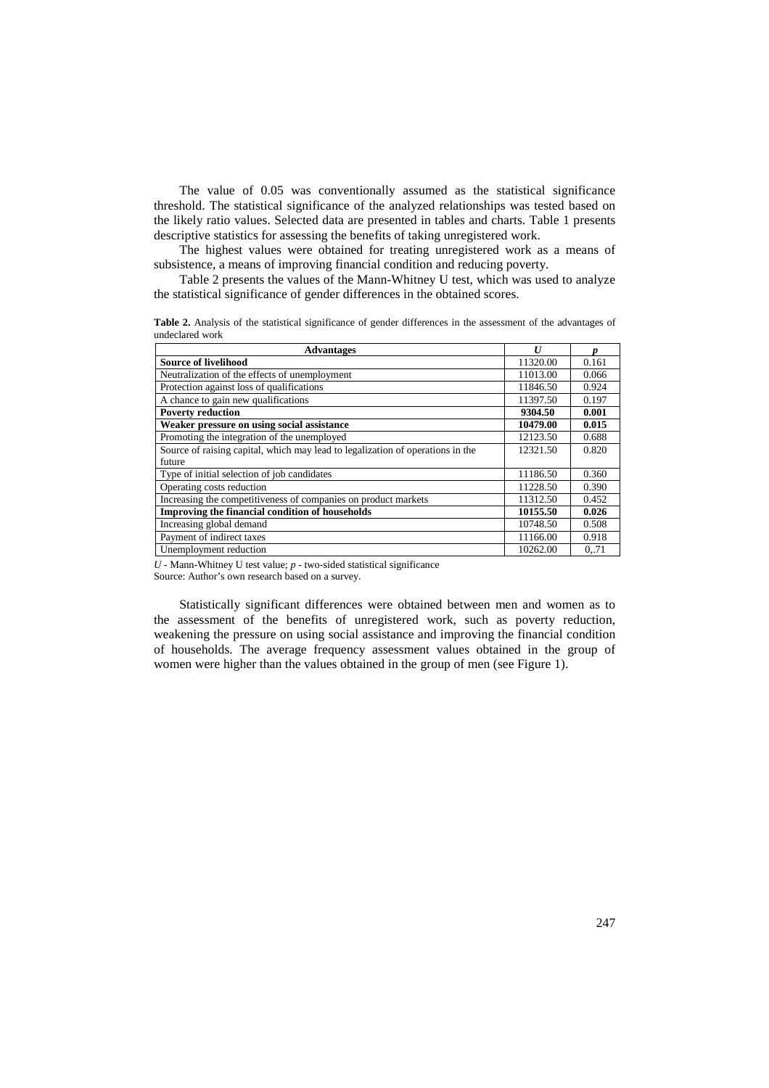The value of 0.05 was conventionally assumed as the statistical significance threshold. The statistical significance of the analyzed relationships was tested based on the likely ratio values. Selected data are presented in tables and charts. Table 1 presents descriptive statistics for assessing the benefits of taking unregistered work.

The highest values were obtained for treating unregistered work as a means of subsistence, a means of improving financial condition and reducing poverty.

Table 2 presents the values of the Mann-Whitney U test, which was used to analyze the statistical significance of gender differences in the obtained scores.

**Table 2.** Analysis of the statistical significance of gender differences in the assessment of the advantages of undeclared work

| <b>Advantages</b>                                                              | I <sub>I</sub> |       |
|--------------------------------------------------------------------------------|----------------|-------|
| <b>Source of livelihood</b>                                                    | 11320.00       | 0.161 |
| Neutralization of the effects of unemployment                                  | 11013.00       | 0.066 |
| Protection against loss of qualifications                                      | 11846.50       | 0.924 |
| A chance to gain new qualifications                                            | 11397.50       | 0.197 |
| <b>Poverty reduction</b>                                                       | 9304.50        | 0.001 |
| Weaker pressure on using social assistance                                     | 10479.00       | 0.015 |
| Promoting the integration of the unemployed                                    | 12123.50       | 0.688 |
| Source of raising capital, which may lead to legalization of operations in the | 12321.50       | 0.820 |
| future                                                                         |                |       |
| Type of initial selection of job candidates                                    | 11186.50       | 0.360 |
| Operating costs reduction                                                      | 11228.50       | 0.390 |
| Increasing the competitiveness of companies on product markets                 | 11312.50       | 0.452 |
| Improving the financial condition of households                                | 10155.50       | 0.026 |
| Increasing global demand                                                       | 10748.50       | 0.508 |
| Payment of indirect taxes                                                      | 11166.00       | 0.918 |
| Unemployment reduction                                                         | 10262.00       | 071   |

*U* - Mann-Whitney U test value; *p* - two-sided statistical significance

Source: Author's own research based on a survey.

Statistically significant differences were obtained between men and women as to the assessment of the benefits of unregistered work, such as poverty reduction, weakening the pressure on using social assistance and improving the financial condition of households. The average frequency assessment values obtained in the group of women were higher than the values obtained in the group of men (see Figure 1).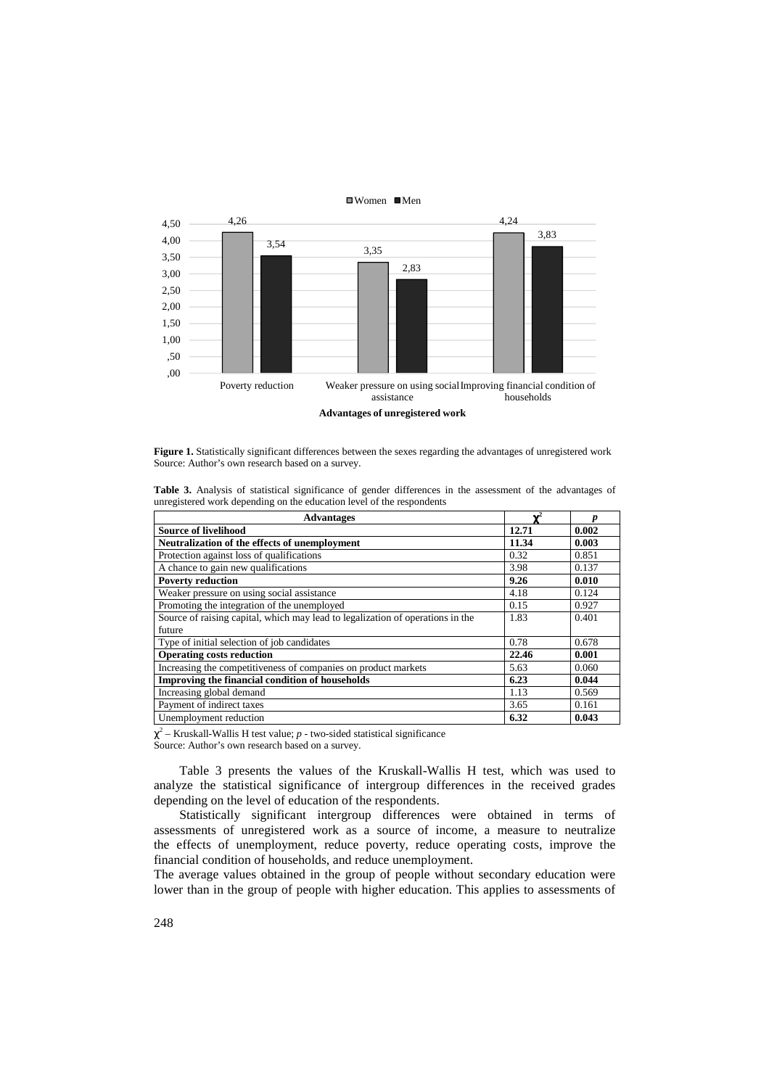

**Figure 1.** Statistically significant differences between the sexes regarding the advantages of unregistered work Source: Author's own research based on a survey.

|  | <b>Table 3.</b> Analysis of statistical significance of gender differences in the assessment of the advantages of |  |  |  |  |  |
|--|-------------------------------------------------------------------------------------------------------------------|--|--|--|--|--|
|  | unregistered work depending on the education level of the respondents                                             |  |  |  |  |  |

| <b>Advantages</b>                                                              |       |       |
|--------------------------------------------------------------------------------|-------|-------|
| <b>Source of livelihood</b>                                                    | 12.71 | 0.002 |
| Neutralization of the effects of unemployment                                  | 11.34 | 0.003 |
| Protection against loss of qualifications                                      | 0.32  | 0.851 |
| A chance to gain new qualifications                                            | 3.98  | 0.137 |
| <b>Poverty reduction</b>                                                       | 9.26  | 0.010 |
| Weaker pressure on using social assistance                                     | 4.18  | 0.124 |
| Promoting the integration of the unemployed                                    | 0.15  | 0.927 |
| Source of raising capital, which may lead to legalization of operations in the | 1.83  | 0.401 |
| future                                                                         |       |       |
| Type of initial selection of job candidates                                    | 0.78  | 0.678 |
| <b>Operating costs reduction</b>                                               | 22.46 | 0.001 |
| Increasing the competitiveness of companies on product markets                 | 5.63  | 0.060 |
| Improving the financial condition of households                                | 6.23  | 0.044 |
| Increasing global demand                                                       | 1.13  | 0.569 |
| Payment of indirect taxes                                                      | 3.65  | 0.161 |
| Unemployment reduction                                                         | 6.32  | 0.043 |

 $\chi^2$  – Kruskall-Wallis H test value;  $p$  - two-sided statistical significance

Source: Author's own research based on a survey.

Table 3 presents the values of the Kruskall-Wallis H test, which was used to analyze the statistical significance of intergroup differences in the received grades depending on the level of education of the respondents.

Statistically significant intergroup differences were obtained in terms of assessments of unregistered work as a source of income, a measure to neutralize the effects of unemployment, reduce poverty, reduce operating costs, improve the financial condition of households, and reduce unemployment.

The average values obtained in the group of people without secondary education were lower than in the group of people with higher education. This applies to assessments of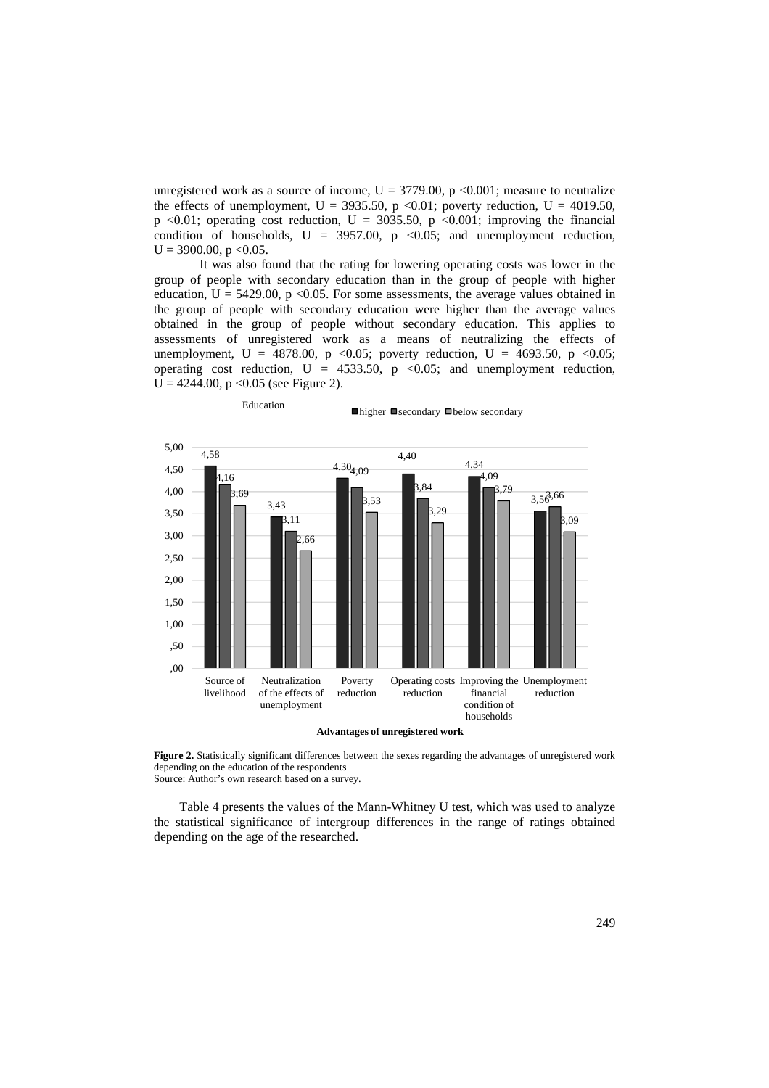unregistered work as a source of income,  $U = 3779.00$ , p <0.001; measure to neutralize the effects of unemployment,  $U = 3935.50$ , p <0.01; poverty reduction,  $U = 4019.50$ , p <0.01; operating cost reduction,  $U = 3035.50$ , p <0.001; improving the financial condition of households,  $U = 3957.00$ ,  $p \le 0.05$ ; and unemployment reduction,  $U = 3900.00$ , p < 0.05.

It was also found that the rating for lowering operating costs was lower in the group of people with secondary education than in the group of people with higher education,  $U = 5429.00$ ,  $p \le 0.05$ . For some assessments, the average values obtained in the group of people with secondary education were higher than the average values obtained in the group of people without secondary education. This applies to assessments of unregistered work as a means of neutralizing the effects of unemployment, U = 4878.00, p <0.05; poverty reduction, U = 4693.50, p <0.05; operating cost reduction,  $U = 4533.50$ ,  $p < 0.05$ ; and unemployment reduction,  $U = 4244.00$ , p < 0.05 (see Figure 2).

Education<br>
■higher ■secondary ■below secondary



**Advantages of unregistered work**

Figure 2. Statistically significant differences between the sexes regarding the advantages of unregistered work depending on the education of the respondents Source: Author's own research based on a survey.

Table 4 presents the values of the Mann-Whitney U test, which was used to analyze the statistical significance of intergroup differences in the range of ratings obtained depending on the age of the researched.

249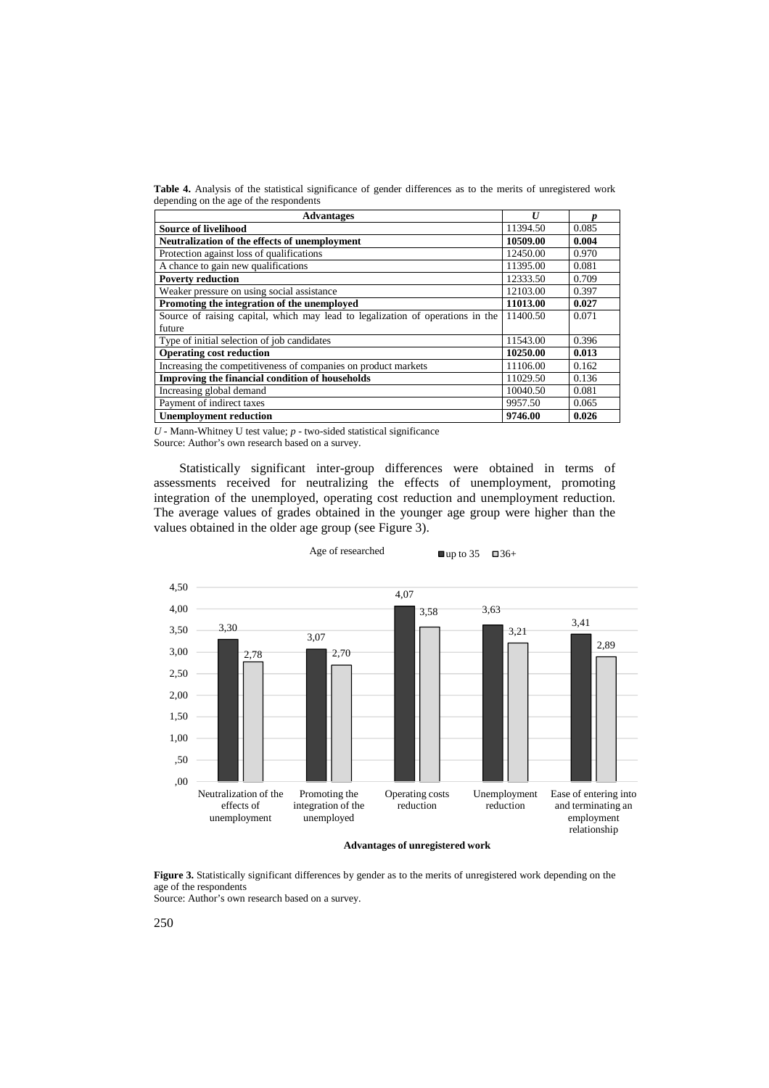**Table 4.** Analysis of the statistical significance of gender differences as to the merits of unregistered work depending on the age of the respondents

| <b>Advantages</b>                                                              | $\boldsymbol{U}$ | n     |  |
|--------------------------------------------------------------------------------|------------------|-------|--|
| <b>Source of livelihood</b>                                                    | 11394.50         | 0.085 |  |
| Neutralization of the effects of unemployment                                  | 10509.00         | 0.004 |  |
| Protection against loss of qualifications                                      | 12450.00         | 0.970 |  |
| A chance to gain new qualifications                                            | 11395.00         | 0.081 |  |
| <b>Poverty reduction</b>                                                       | 12333.50         | 0.709 |  |
| Weaker pressure on using social assistance                                     | 12103.00         | 0.397 |  |
| Promoting the integration of the unemployed                                    | 11013.00         | 0.027 |  |
| Source of raising capital, which may lead to legalization of operations in the | 11400.50         | 0.071 |  |
| future                                                                         |                  |       |  |
| Type of initial selection of job candidates                                    | 11543.00         | 0.396 |  |
| <b>Operating cost reduction</b>                                                | 10250.00         | 0.013 |  |
| Increasing the competitiveness of companies on product markets                 | 11106.00         | 0.162 |  |
| Improving the financial condition of households                                | 11029.50         | 0.136 |  |
| Increasing global demand                                                       | 10040.50         | 0.081 |  |
| Payment of indirect taxes                                                      | 9957.50          | 0.065 |  |
| <b>Unemployment reduction</b>                                                  | 9746.00          | 0.026 |  |

*U* - Mann-Whitney U test value; *p* - two-sided statistical significance Source: Author's own research based on a survey.

Statistically significant inter-group differences were obtained in terms of assessments received for neutralizing the effects of unemployment, promoting integration of the unemployed, operating cost reduction and unemployment reduction. The average values of grades obtained in the younger age group were higher than the values obtained in the older age group (see Figure 3).



Age of researched  $\Box$  up to 35  $\Box$  36+

**Figure 3.** Statistically significant differences by gender as to the merits of unregistered work depending on the age of the respondents Source: Author's own research based on a survey.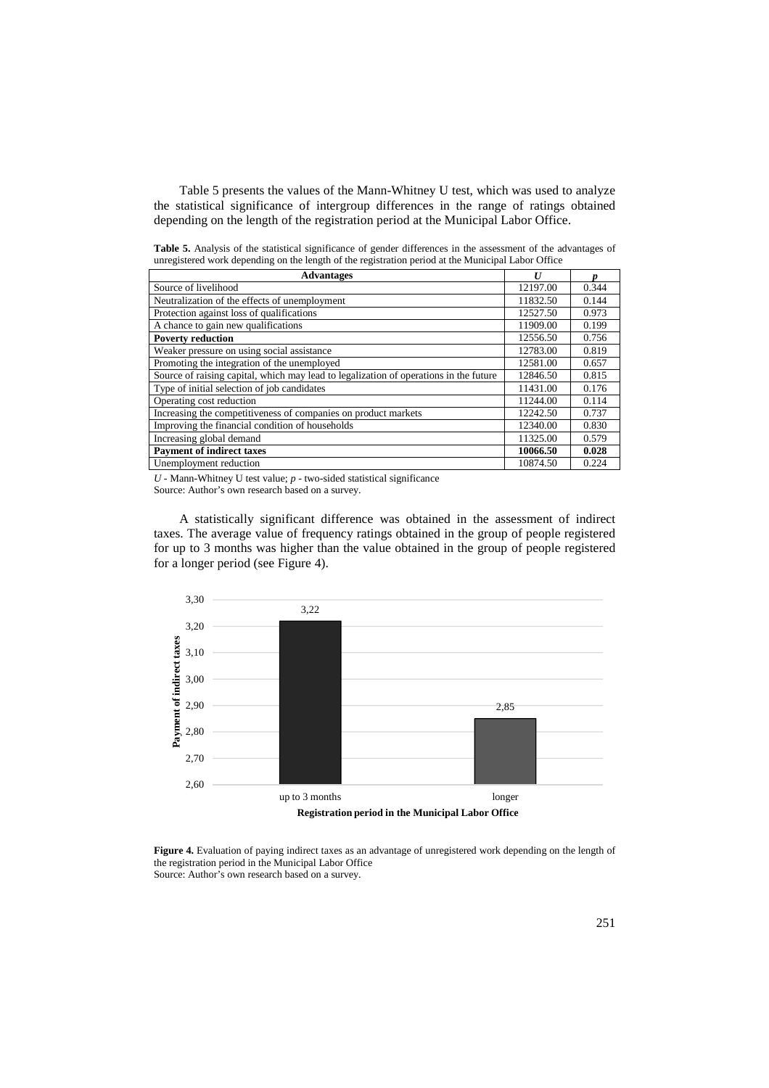Table 5 presents the values of the Mann-Whitney U test, which was used to analyze the statistical significance of intergroup differences in the range of ratings obtained depending on the length of the registration period at the Municipal Labor Office.

**Table 5.** Analysis of the statistical significance of gender differences in the assessment of the advantages of unregistered work depending on the length of the registration period at the Municipal Labor Office

| <b>Advantages</b>                                                                     | $\boldsymbol{U}$ |       |
|---------------------------------------------------------------------------------------|------------------|-------|
| Source of livelihood                                                                  | 12197.00         | 0.344 |
| Neutralization of the effects of unemployment                                         | 11832.50         | 0.144 |
| Protection against loss of qualifications                                             | 12527.50         | 0.973 |
| A chance to gain new qualifications                                                   | 11909.00         | 0.199 |
| <b>Poverty reduction</b>                                                              | 12556.50         | 0.756 |
| Weaker pressure on using social assistance                                            | 12783.00         | 0.819 |
| Promoting the integration of the unemployed                                           | 12581.00         | 0.657 |
| Source of raising capital, which may lead to legalization of operations in the future | 12846.50         | 0.815 |
| Type of initial selection of job candidates                                           | 11431.00         | 0.176 |
| Operating cost reduction                                                              | 11244.00         | 0.114 |
| Increasing the competitiveness of companies on product markets                        | 12242.50         | 0.737 |
| Improving the financial condition of households                                       | 12340.00         | 0.830 |
| Increasing global demand                                                              | 11325.00         | 0.579 |
| <b>Payment of indirect taxes</b>                                                      | 10066.50         | 0.028 |
| Unemployment reduction                                                                | 10874.50         | 0.224 |

*U* - Mann-Whitney U test value; *p* - two-sided statistical significance

Source: Author's own research based on a survey.

A statistically significant difference was obtained in the assessment of indirect taxes. The average value of frequency ratings obtained in the group of people registered for up to 3 months was higher than the value obtained in the group of people registered for a longer period (see Figure 4).



**Registration period in the Municipal Labor Office**

**Figure 4.** Evaluation of paying indirect taxes as an advantage of unregistered work depending on the length of the registration period in the Municipal Labor Office Source: Author's own research based on a survey.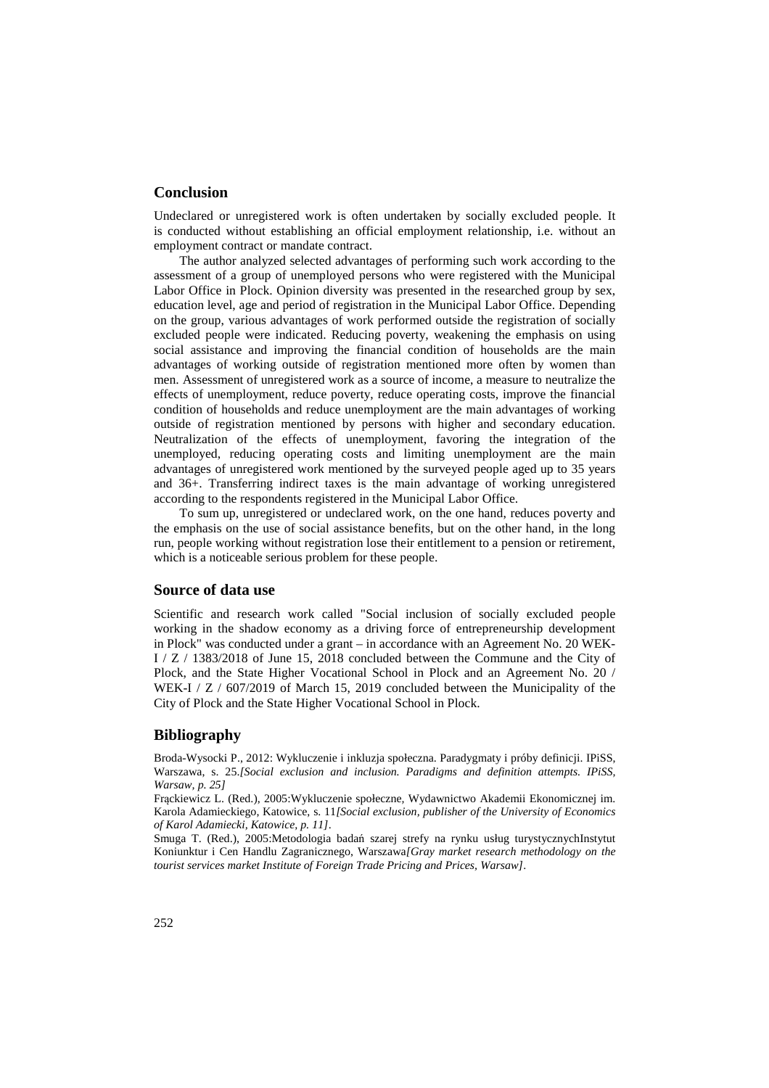## **Conclusion**

Undeclared or unregistered work is often undertaken by socially excluded people. It is conducted without establishing an official employment relationship, i.e. without an employment contract or mandate contract.

The author analyzed selected advantages of performing such work according to the assessment of a group of unemployed persons who were registered with the Municipal Labor Office in Plock. Opinion diversity was presented in the researched group by sex, education level, age and period of registration in the Municipal Labor Office. Depending on the group, various advantages of work performed outside the registration of socially excluded people were indicated. Reducing poverty, weakening the emphasis on using social assistance and improving the financial condition of households are the main advantages of working outside of registration mentioned more often by women than men. Assessment of unregistered work as a source of income, a measure to neutralize the effects of unemployment, reduce poverty, reduce operating costs, improve the financial condition of households and reduce unemployment are the main advantages of working outside of registration mentioned by persons with higher and secondary education. Neutralization of the effects of unemployment, favoring the integration of the unemployed, reducing operating costs and limiting unemployment are the main advantages of unregistered work mentioned by the surveyed people aged up to 35 years and 36+. Transferring indirect taxes is the main advantage of working unregistered according to the respondents registered in the Municipal Labor Office.

To sum up, unregistered or undeclared work, on the one hand, reduces poverty and the emphasis on the use of social assistance benefits, but on the other hand, in the long run, people working without registration lose their entitlement to a pension or retirement, which is a noticeable serious problem for these people.

### **Source of data use**

Scientific and research work called "Social inclusion of socially excluded people working in the shadow economy as a driving force of entrepreneurship development in Plock" was conducted under a grant – in accordance with an Agreement No. 20 WEK-I / Z / 1383/2018 of June 15, 2018 concluded between the Commune and the City of Plock, and the State Higher Vocational School in Plock and an Agreement No. 20 / WEK-I / Z / 607/2019 of March 15, 2019 concluded between the Municipality of the City of Plock and the State Higher Vocational School in Plock.

# **Bibliography**

Broda-Wysocki P., 2012: Wykluczenie i inkluzja społeczna. Paradygmaty i próby definicji. IPiSS, Warszawa, s. 25.*[Social exclusion and inclusion. Paradigms and definition attempts. IPiSS, Warsaw, p. 25]*

Frąckiewicz L. (Red.), 2005:Wykluczenie społeczne*,* Wydawnictwo Akademii Ekonomicznej im. Karola Adamieckiego, Katowice, s. 11*[Social exclusion, publisher of the University of Economics of Karol Adamiecki, Katowice, p. 11]*.

Smuga T. (Red.), 2005:Metodologia badań szarej strefy na rynku usług turystycznychInstytut Koniunktur i Cen Handlu Zagranicznego, Warszawa*[Gray market research methodology on the tourist services market Institute of Foreign Trade Pricing and Prices, Warsaw]*.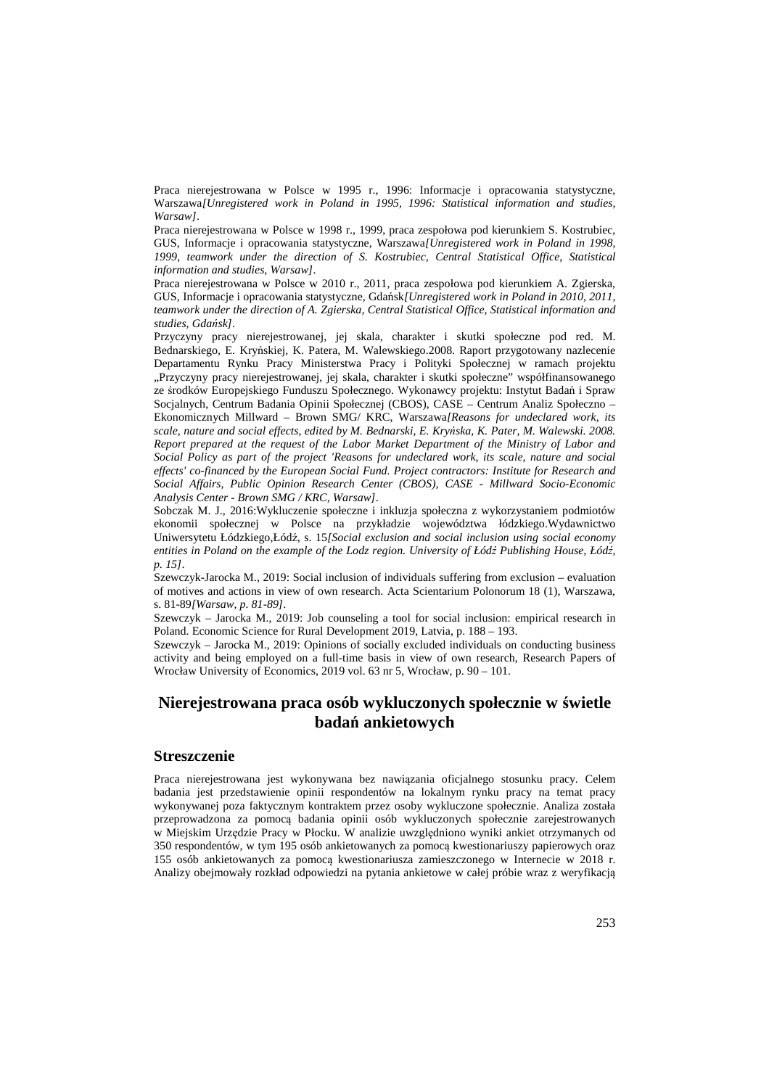Praca nierejestrowana w Polsce w 1995 r., 1996: Informacje i opracowania statystyczne, Warszawa*[Unregistered work in Poland in 1995, 1996: Statistical information and studies, Warsaw]*.

Praca nierejestrowana w Polsce w 1998 r., 1999, praca zespołowa pod kierunkiem S. Kostrubiec, GUS, Informacje i opracowania statystyczne, Warszawa*[Unregistered work in Poland in 1998, 1999, teamwork under the direction of S. Kostrubiec, Central Statistical Office, Statistical information and studies, Warsaw]*.

Praca nierejestrowana w Polsce w 2010 r., 2011, praca zespołowa pod kierunkiem A. Zgierska, GUS, Informacje i opracowania statystyczne, Gdańsk*[Unregistered work in Poland in 2010, 2011, teamwork under the direction of A. Zgierska, Central Statistical Office, Statistical information and studies, Gdańsk]*.

Przyczyny pracy nierejestrowanej, jej skala, charakter i skutki społeczne pod red. M. Bednarskiego, E. Kryńskiej, K. Patera, M. Walewskiego.2008. Raport przygotowany nazlecenie Departamentu Rynku Pracy Ministerstwa Pracy i Polityki Społecznej w ramach projektu "Przyczyny pracy nierejestrowanej, jej skala, charakter i skutki społeczne" współfinansowanego ze środków Europejskiego Funduszu Społecznego. Wykonawcy projektu: Instytut Badań i Spraw Socjalnych, Centrum Badania Opinii Społecznej (CBOS), CASE – Centrum Analiz Społeczno – Ekonomicznych Millward – Brown SMG/ KRC, Warszawa*[Reasons for undeclared work, its scale, nature and social effects, edited by M. Bednarski, E. Kryńska, K. Pater, M. Walewski. 2008. Report prepared at the request of the Labor Market Department of the Ministry of Labor and Social Policy as part of the project 'Reasons for undeclared work, its scale, nature and social effects' co-financed by the European Social Fund. Project contractors: Institute for Research and Social Affairs, Public Opinion Research Center (CBOS), CASE - Millward Socio-Economic Analysis Center - Brown SMG / KRC, Warsaw]*.

Sobczak M. J., 2016:Wykluczenie społeczne i inkluzja społeczna z wykorzystaniem podmiotów ekonomii społecznej w Polsce na przykładzie województwa łódzkiego.Wydawnictwo Uniwersytetu Łódzkiego,Łódź, s. 15*[Social exclusion and social inclusion using social economy entities in Poland on the example of the Lodz region. University of Łódź Publishing House, Łódź, p. 15]*.

Szewczyk-Jarocka M., 2019: Social inclusion of individuals suffering from exclusion – evaluation of motives and actions in view of own research. Acta Scientarium Polonorum 18 (1), Warszawa, s. 81-89*[Warsaw, p. 81-89]*.

Szewczyk – Jarocka M., 2019: Job counseling a tool for social inclusion: empirical research in Poland. Economic Science for Rural Development 2019, Latvia, p. 188 – 193.

Szewczyk – Jarocka M., 2019: Opinions of socially excluded individuals on conducting business activity and being employed on a full-time basis in view of own research, Research Papers of Wrocław University of Economics, 2019 vol. 63 nr 5, Wrocław, p. 90 – 101.

# **Nierejestrowana praca osób wykluczonych społecznie w świetle badań ankietowych**

#### **Streszczenie**

Praca nierejestrowana jest wykonywana bez nawiązania oficjalnego stosunku pracy. Celem badania jest przedstawienie opinii respondentów na lokalnym rynku pracy na temat pracy wykonywanej poza faktycznym kontraktem przez osoby wykluczone społecznie. Analiza została przeprowadzona za pomocą badania opinii osób wykluczonych społecznie zarejestrowanych w Miejskim Urzędzie Pracy w Płocku. W analizie uwzględniono wyniki ankiet otrzymanych od 350 respondentów, w tym 195 osób ankietowanych za pomocą kwestionariuszy papierowych oraz 155 osób ankietowanych za pomocą kwestionariusza zamieszczonego w Internecie w 2018 r. Analizy obejmowały rozkład odpowiedzi na pytania ankietowe w całej próbie wraz z weryfikacją